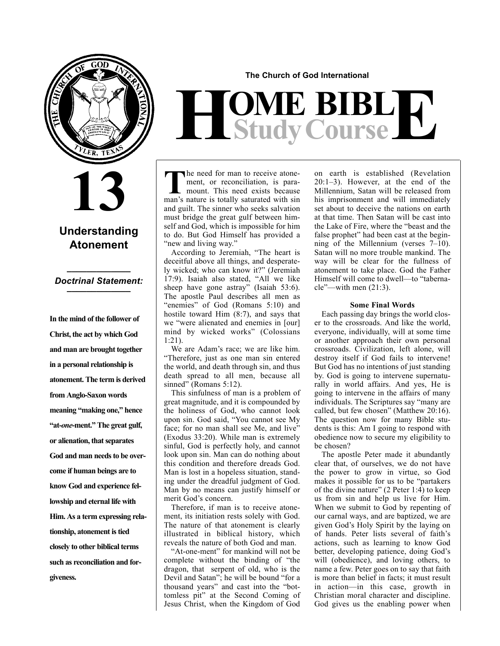

## **13**

#### **Understanding Atonement**

#### **\_\_\_\_\_\_\_\_\_\_\_\_\_** *Doctrinal Statement:* **\_\_\_\_\_\_\_\_\_\_\_\_\_**

**In the mind of the follower of Christ, the act by which God and man are brought together in a personal relationship is atonement. The term is derived from Anglo-Saxon words meaning "making one," hence "at-***one***-ment." The great gulf, or alienation, that separates God and man needs to be overcome if human beings are to know God and experience fellowship and eternal life with Him. As a term expressing relationship, atonement is tied closely to other biblical terms such as reconciliation and forgiveness.**

**The Church of God International**

# $H$ **Study Course**

The need for man to receive atone-<br>ment, or reconciliation, is para-<br>mon's noture is totally seturated with sin ment, or reconciliation, is paramount. This need exists because man's nature is totally saturated with sin and guilt. The sinner who seeks salvation must bridge the great gulf between himself and God, which is impossible for him to do. But God Himself has provided a "new and living way."

According to Jeremiah, "The heart is deceitful above all things, and desperately wicked; who can know it?" (Jeremiah 17:9). Isaiah also stated, "All we like sheep have gone astray" (Isaiah 53:6). The apostle Paul describes all men as "enemies" of God (Romans 5:10) and hostile toward Him (8:7), and says that we "were alienated and enemies in [our] mind by wicked works" (Colossians 1:21).

We are Adam's race; we are like him. "Therefore, just as one man sin entered the world, and death through sin, and thus death spread to all men, because all sinned" (Romans 5:12).

This sinfulness of man is a problem of great magnitude, and it is compounded by the holiness of God, who cannot look upon sin. God said, "You cannot see My face; for no man shall see Me, and live" (Exodus 33:20). While man is extremely sinful, God is perfectly holy, and cannot look upon sin. Man can do nothing about this condition and therefore dreads God. Man is lost in a hopeless situation, standing under the dreadful judgment of God. Man by no means can justify himself or merit God's concern.

Therefore, if man is to receive atonement, its initiation rests solely with God. The nature of that atonement is clearly illustrated in biblical history, which reveals the nature of both God and man.

"At-one-ment" for mankind will not be complete without the binding of "the dragon, that serpent of old, who is the Devil and Satan"; he will be bound "for a thousand years" and cast into the "bottomless pit" at the Second Coming of Jesus Christ, when the Kingdom of God on earth is established (Revelation 20:1–3). However, at the end of the Millennium, Satan will be released from his imprisonment and will immediately set about to deceive the nations on earth at that time. Then Satan will be cast into the Lake of Fire, where the "beast and the false prophet" had been cast at the beginning of the Millennium (verses 7–10). Satan will no more trouble mankind. The way will be clear for the fullness of atonement to take place. God the Father Himself will come to dwell—to "tabernacle"—with men (21:3).

#### **Some Final Words**

Each passing day brings the world closer to the crossroads. And like the world, everyone, individually, will at some time or another approach their own personal crossroads. Civilization, left alone, will destroy itself if God fails to intervene! But God has no intentions of just standing by. God is going to intervene supernaturally in world affairs. And yes, He is going to intervene in the affairs of many individuals. The Scriptures say "many are called, but few chosen" (Matthew 20:16). The question now for many Bible students is this: Am I going to respond with obedience now to secure my eligibility to be chosen?

The apostle Peter made it abundantly clear that, of ourselves, we do not have the power to grow in virtue, so God makes it possible for us to be "partakers of the divine nature" (2 Peter 1:4) to keep us from sin and help us live for Him. When we submit to God by repenting of our carnal ways, and are baptized, we are given God's Holy Spirit by the laying on of hands. Peter lists several of faith's actions, such as learning to know God better, developing patience, doing God's will (obedience), and loving others, to name a few. Peter goes on to say that faith is more than belief in facts; it must result in action—in this case, growth in Christian moral character and discipline. God gives us the enabling power when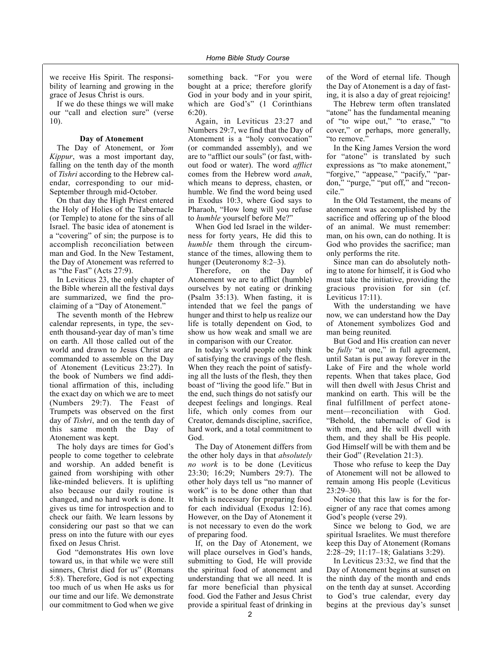we receive His Spirit. The responsibility of learning and growing in the grace of Jesus Christ is ours.

If we do these things we will make our "call and election sure" (verse 10).

#### **Day of Atonement**

The Day of Atonement, or *Yom Kippur*, was a most important day, falling on the tenth day of the month of *Tishri* according to the Hebrew calendar, corresponding to our mid-September through mid-October.

On that day the High Priest entered the Holy of Holies of the Tabernacle (or Temple) to atone for the sins of all Israel. The basic idea of atonement is a "covering" of sin; the purpose is to accomplish reconciliation between man and God. In the New Testament, the Day of Atonement was referred to as "the Fast" (Acts 27:9).

In Leviticus 23, the only chapter of the Bible wherein all the festival days are summarized, we find the proclaiming of a "Day of Atonement."

The seventh month of the Hebrew calendar represents, in type, the seventh thousand-year day of man's time on earth. All those called out of the world and drawn to Jesus Christ are commanded to assemble on the Day of Atonement (Leviticus 23:27). In the book of Numbers we find additional affirmation of this, including the exact day on which we are to meet (Numbers 29:7). The Feast of Trumpets was observed on the first day of *Tishri*, and on the tenth day of this same month the Day of Atonement was kept.

The holy days are times for God's people to come together to celebrate and worship. An added benefit is gained from worshiping with other like-minded believers. It is uplifting also because our daily routine is changed, and no hard work is done. It gives us time for introspection and to check our faith. We learn lessons by considering our past so that we can press on into the future with our eyes fixed on Jesus Christ.

God "demonstrates His own love toward us, in that while we were still sinners, Christ died for us" (Romans 5:8). Therefore, God is not expecting too much of us when He asks us for our time and our life. We demonstrate our commitment to God when we give

something back. "For you were bought at a price; therefore glorify God in your body and in your spirit, which are God's" (1 Corinthians 6:20).

Again, in Leviticus 23:27 and Numbers 29:7, we find that the Day of Atonement is a "holy convocation" (or commanded assembly), and we are to "afflict our souls" (or fast, without food or water). The word *afflict* comes from the Hebrew word *anah*, which means to depress, chasten, or humble. We find the word being used in Exodus 10:3, where God says to Pharaoh, "How long will you refuse to *humble* yourself before Me?"

When God led Israel in the wilderness for forty years, He did this to *humble* them through the circumstance of the times, allowing them to hunger (Deuteronomy 8:2–3).

Therefore, on the Day of Atonement we are to afflict (humble) ourselves by not eating or drinking (Psalm 35:13). When fasting, it is intended that we feel the pangs of hunger and thirst to help us realize our life is totally dependent on God, to show us how weak and small we are in comparison with our Creator.

In today's world people only think of satisfying the cravings of the flesh. When they reach the point of satisfying all the lusts of the flesh, they then boast of "living the good life." But in the end, such things do not satisfy our deepest feelings and longings. Real life, which only comes from our Creator, demands discipline, sacrifice, hard work, and a total commitment to God.

The Day of Atonement differs from the other holy days in that *absolutely no work* is to be done (Leviticus 23:30; 16:29; Numbers 29:7). The other holy days tell us "no manner of work" is to be done other than that which is necessary for preparing food for each individual (Exodus 12:16). However, on the Day of Atonement it is not necessary to even do the work of preparing food.

If, on the Day of Atonement, we will place ourselves in God's hands, submitting to God, He will provide the spiritual food of atonement and understanding that we all need. It is far more beneficial than physical food. God the Father and Jesus Christ provide a spiritual feast of drinking in of the Word of eternal life. Though the Day of Atonement is a day of fasting, it is also a day of great rejoicing!

The Hebrew term often translated "atone" has the fundamental meaning of "to wipe out," "to erase," "to cover," or perhaps, more generally, "to remove."

In the King James Version the word for "atone" is translated by such expressions as "to make atonement," "forgive," "appease," "pacify," "pardon," "purge," "put off," and "reconcile."

In the Old Testament, the means of atonement was accomplished by the sacrifice and offering up of the blood of an animal. We must remember: man, on his own, can do nothing. It is God who provides the sacrifice; man only performs the rite.

Since man can do absolutely nothing to atone for himself, it is God who must take the initiative, providing the gracious provision for sin (cf. Leviticus 17:11).

With the understanding we have now, we can understand how the Day of Atonement symbolizes God and man being reunited*.*

But God and His creation can never be *fully* "at one," in full agreement, until Satan is put away forever in the Lake of Fire and the whole world repents. When that takes place, God will then dwell with Jesus Christ and mankind on earth. This will be the final fulfillment of perfect atonement—reconciliation with God. "Behold, the tabernacle of God is with men, and He will dwell with them, and they shall be His people. God Himself will be with them and be their God" (Revelation 21:3).

Those who refuse to keep the Day of Atonement will not be allowed to remain among His people (Leviticus 23:29–30).

Notice that this law is for the foreigner of any race that comes among God's people (verse 29).

Since we belong to God, we are spiritual Israelites. We must therefore keep this Day of Atonement (Romans 2:28–29; 11:17–18; Galatians 3:29).

In Leviticus 23:32, we find that the Day of Atonement begins at sunset on the ninth day of the month and ends on the tenth day at sunset. According to God's true calendar, every day begins at the previous day's sunset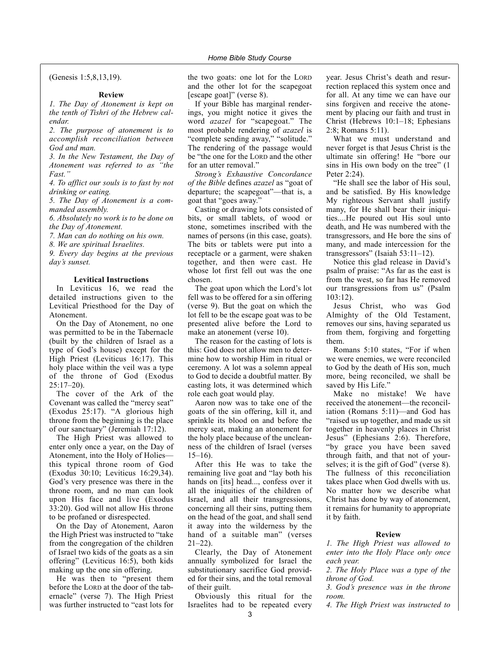(Genesis 1:5,8,13,19).

#### **Review**

*1. The Day of Atonement is kept on the tenth of Tishri of the Hebrew calendar.*

*2. The purpose of atonement is to accomplish reconciliation between God and man.*

*3. In the New Testament, the Day of Atonement was referred to as "the Fast."*

*4. To afflict our souls is to fast by not drinking or eating.*

*5. The Day of Atonement is a commanded assembly.*

*6. Absolutely no work is to be done on the Day of Atonement.*

*7. Man can do nothing on his own.*

*8. We are spiritual Israelites.*

*9. Every day begins at the previous day's sunset.*

#### **Levitical Instructions**

In Leviticus 16, we read the detailed instructions given to the Levitical Priesthood for the Day of Atonement.

On the Day of Atonement, no one was permitted to be in the Tabernacle (built by the children of Israel as a type of God's house) except for the High Priest (Leviticus 16:17). This holy place within the veil was a type of the throne of God (Exodus 25:17–20).

The cover of the Ark of the Covenant was called the "mercy seat" (Exodus 25:17). "A glorious high throne from the beginning is the place of our sanctuary" (Jeremiah 17:12).

The High Priest was allowed to enter only once a year, on the Day of Atonement, into the Holy of Holies this typical throne room of God (Exodus 30:10; Leviticus 16:29,34). God's very presence was there in the throne room, and no man can look upon His face and live (Exodus 33:20). God will not allow His throne to be profaned or disrespected.

On the Day of Atonement, Aaron the High Priest was instructed to "take from the congregation of the children of Israel two kids of the goats as a sin offering" (Leviticus 16:5), both kids making up the one sin offering.

He was then to "present them before the LORD at the door of the tabernacle" (verse 7). The High Priest was further instructed to "cast lots for the two goats: one lot for the LORD and the other lot for the scapegoat [escape goat]" (verse 8).

If your Bible has marginal renderings, you might notice it gives the word *azazel* for "scapegoat." The most probable rendering of *azazel* is "complete sending away," "solitude." The rendering of the passage would be "the one for the LORD and the other for an utter removal."

*Strong's Exhaustive Concordance of the Bible* defines *azazel* as "goat of departure; the scapegoat"—that is, a goat that "goes away."

Casting or drawing lots consisted of bits, or small tablets, of wood or stone, sometimes inscribed with the names of persons (in this case, goats). The bits or tablets were put into a receptacle or a garment, were shaken together, and then were cast. He whose lot first fell out was the one chosen.

The goat upon which the Lord's lot fell was to be offered for a sin offering (verse 9). But the goat on which the lot fell to be the escape goat was to be presented alive before the Lord to make an atonement (verse 10).

The reason for the casting of lots is this: God does not allow men to determine how to worship Him in ritual or ceremony. A lot was a solemn appeal to God to decide a doubtful matter. By casting lots, it was determined which role each goat would play.

Aaron now was to take one of the goats of the sin offering, kill it, and sprinkle its blood on and before the mercy seat, making an atonement for the holy place because of the uncleanness of the children of Israel (verses 15–16).

After this He was to take the remaining live goat and "lay both his hands on [its] head..., confess over it all the iniquities of the children of Israel, and all their transgressions, concerning all their sins, putting them on the head of the goat, and shall send it away into the wilderness by the hand of a suitable man" (verses  $21-22$ ).

Clearly, the Day of Atonement annually symbolized for Israel the substitutionary sacrifice God provided for their sins, and the total removal of their guilt.

Obviously this ritual for the Israelites had to be repeated every year. Jesus Christ's death and resurrection replaced this system once and for all. At any time we can have our sins forgiven and receive the atonement by placing our faith and trust in Christ (Hebrews 10:1–18; Ephesians 2:8; Romans 5:11).

What we must understand and never forget is that Jesus Christ is the ultimate sin offering! He "bore our sins in His own body on the tree" (1 Peter 2:24).

"He shall see the labor of His soul, and be satisfied. By His knowledge My righteous Servant shall justify many, for He shall bear their iniquities....He poured out His soul unto death, and He was numbered with the transgressors, and He bore the sins of many, and made intercession for the transgressors" (Isaiah 53:11–12).

Notice this glad release in David's psalm of praise: "As far as the east is from the west, so far has He removed our transgressions from us" (Psalm 103:12).

Jesus Christ, who was God Almighty of the Old Testament, removes our sins, having separated us from them, forgiving and forgetting them.

Romans 5:10 states, "For if when we were enemies, we were reconciled to God by the death of His son, much more, being reconciled, we shall be saved by His Life."

Make no mistake! We have received the atonement—the reconciliation (Romans 5:11)—and God has "raised us up together, and made us sit together in heavenly places in Christ Jesus" (Ephesians 2:6). Therefore, "by grace you have been saved through faith, and that not of yourselves; it is the gift of God" (verse 8). The fullness of this reconciliation takes place when God dwells with us. No matter how we describe what Christ has done by way of atonement, it remains for humanity to appropriate it by faith.

#### **Review**

*1. The High Priest was allowed to enter into the Holy Place only once each year.*

*2. The Holy Place was a type of the throne of God.*

*3. God's presence was in the throne room.*

*4. The High Priest was instructed to*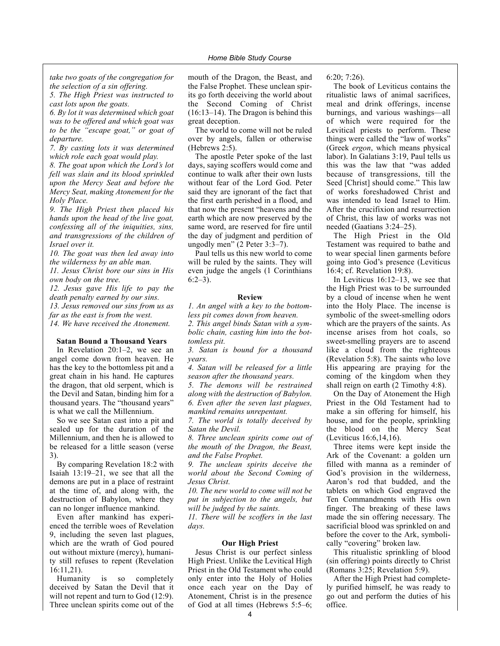*take two goats of the congregation for the selection of a sin offering.*

*5. The High Priest was instructed to cast lots upon the goats.*

*6. By lot it was determined which goat was to be offered and which goat was to be the "escape goat," or goat of departure.*

*7. By casting lots it was determined which role each goat would play.*

*8. The goat upon which the Lord's lot fell was slain and its blood sprinkled upon the Mercy Seat and before the Mercy Seat, making Atonement for the Holy Place.*

*9. The High Priest then placed his hands upon the head of the live goat, confessing all of the iniquities, sins, and transgressions of the children of Israel over it.*

*10. The goat was then led away into the wilderness by an able man.*

*11. Jesus Christ bore our sins in His own body on the tree.*

*12. Jesus gave His life to pay the death penalty earned by our sins. 13. Jesus removed our sins from us as*

*far as the east is from the west. 14. We have received the Atonement.*

#### **Satan Bound a Thousand Years**

In Revelation 20:1–2, we see an angel come down from heaven. He has the key to the bottomless pit and a great chain in his hand. He captures the dragon, that old serpent, which is the Devil and Satan, binding him for a thousand years. The "thousand years" is what we call the Millennium.

So we see Satan cast into a pit and sealed up for the duration of the Millennium, and then he is allowed to be released for a little season (verse 3).

By comparing Revelation 18:2 with Isaiah 13:19–21, we see that all the demons are put in a place of restraint at the time of, and along with, the destruction of Babylon, where they can no longer influence mankind.

Even after mankind has experienced the terrible woes of Revelation 9, including the seven last plagues, which are the wrath of God poured out without mixture (mercy), humanity still refuses to repent (Revelation 16:11,21).

Humanity is so completely deceived by Satan the Devil that it will not repent and turn to God  $(12:9)$ . Three unclean spirits come out of the

mouth of the Dragon, the Beast, and the False Prophet. These unclean spirits go forth deceiving the world about the Second Coming of Christ (16:13–14). The Dragon is behind this great deception.

The world to come will not be ruled over by angels, fallen or otherwise (Hebrews 2:5).

The apostle Peter spoke of the last days, saying scoffers would come and continue to walk after their own lusts without fear of the Lord God. Peter said they are ignorant of the fact that the first earth perished in a flood, and that now the present "heavens and the earth which are now preserved by the same word, are reserved for fire until the day of judgment and perdition of ungodly men" (2 Peter 3:3–7).

Paul tells us this new world to come will be ruled by the saints. They will even judge the angels (1 Corinthians  $6:2-3$ ).

#### **Review**

*1. An angel with a key to the bottomless pit comes down from heaven. 2. This angel binds Satan with a symbolic chain, casting him into the bottomless pit.*

*3. Satan is bound for a thousand years.*

*4. Satan will be released for a little season after the thousand years.*

*5. The demons will be restrained along with the destruction of Babylon. 6. Even after the seven last plagues, mankind remains unrepentant.*

*7. The world is totally deceived by Satan the Devil.*

*8. Three unclean spirits come out of the mouth of the Dragon, the Beast, and the False Prophet.*

*9. The unclean spirits deceive the world about the Second Coming of Jesus Christ.*

*10. The new world to come will not be put in subjection to the angels, but will be judged by the saints.*

*11. There will be scoffers in the last days.*

#### **Our High Priest**

Jesus Christ is our perfect sinless High Priest. Unlike the Levitical High Priest in the Old Testament who could only enter into the Holy of Holies once each year on the Day of Atonement, Christ is in the presence of God at all times (Hebrews 5:5–6;

6:20; 7:26).

The book of Leviticus contains the ritualistic laws of animal sacrifices, meal and drink offerings, incense burnings, and various washings—all of which were required for the Levitical priests to perform. These things were called the "law of works" (Greek *ergon*, which means physical labor). In Galatians 3:19, Paul tells us this was the law that "was added because of transgressions, till the Seed [Christ] should come." This law of works foreshadowed Christ and was intended to lead Israel to Him. After the crucifixion and resurrection of Christ, this law of works was not needed (Gaatians 3:24–25).

The High Priest in the Old Testament was required to bathe and to wear special linen garments before going into God's presence (Leviticus 16:4; cf. Revelation 19:8).

In Leviticus 16:12–13, we see that the High Priest was to be surrounded by a cloud of incense when he went into the Holy Place. The incense is symbolic of the sweet-smelling odors which are the prayers of the saints. As incense arises from hot coals, so sweet-smelling prayers are to ascend like a cloud from the righteous (Revelation 5:8). The saints who love His appearing are praying for the coming of the kingdom when they shall reign on earth (2 Timothy 4:8).

On the Day of Atonement the High Priest in the Old Testament had to make a sin offering for himself, his house, and for the people, sprinkling the blood on the Mercy Seat (Leviticus 16:6,14,16).

Three items were kept inside the Ark of the Covenant: a golden urn filled with manna as a reminder of God's provision in the wilderness, Aaron's rod that budded, and the tablets on which God engraved the Ten Commandments with His own finger. The breaking of these laws made the sin offering necessary. The sacrificial blood was sprinkled on and before the cover to the Ark, symbolically "covering" broken law.

This ritualistic sprinkling of blood (sin offering) points directly to Christ (Romans 3:25; Revelation 5:9).

After the High Priest had completely purified himself, he was ready to go out and perform the duties of his office.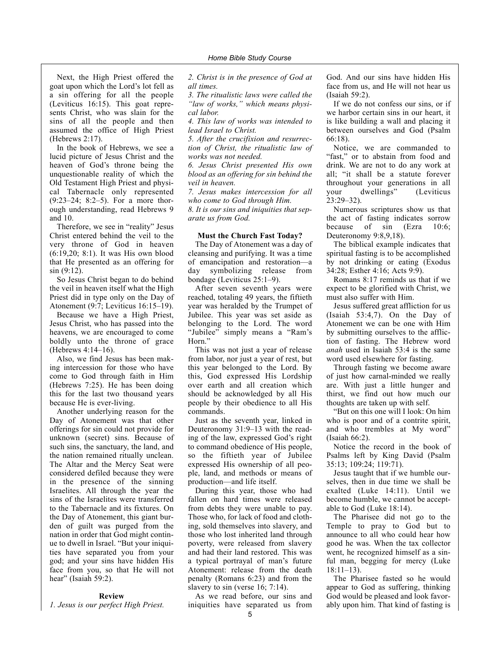Next, the High Priest offered the goat upon which the Lord's lot fell as a sin offering for all the people (Leviticus 16:15). This goat represents Christ, who was slain for the sins of all the people and then assumed the office of High Priest (Hebrews 2:17).

In the book of Hebrews, we see a lucid picture of Jesus Christ and the heaven of God's throne being the unquestionable reality of which the Old Testament High Priest and physical Tabernacle only represented (9:23–24; 8:2–5). For a more thorough understanding, read Hebrews 9 and 10.

Therefore, we see in "reality" Jesus Christ entered behind the veil to the very throne of God in heaven (6:19,20; 8:1). It was His own blood that He presented as an offering for sin (9:12).

So Jesus Christ began to do behind the veil in heaven itself what the High Priest did in type only on the Day of Atonement (9:7; Leviticus 16:15–19).

Because we have a High Priest, Jesus Christ, who has passed into the heavens, we are encouraged to come boldly unto the throne of grace (Hebrews 4:14–16).

Also, we find Jesus has been making intercession for those who have come to God through faith in Him (Hebrews 7:25). He has been doing this for the last two thousand years because He is ever-living.

Another underlying reason for the Day of Atonement was that other offerings for sin could not provide for unknown (secret) sins. Because of such sins, the sanctuary, the land, and the nation remained ritually unclean. The Altar and the Mercy Seat were considered defiled because they were in the presence of the sinning Israelites. All through the year the sins of the Israelites were transferred to the Tabernacle and its fixtures. On the Day of Atonement, this giant burden of guilt was purged from the nation in order that God might continue to dwell in Israel. "But your iniquities have separated you from your god; and your sins have hidden His face from you, so that He will not hear" (Isaiah 59:2).

#### **Review**

*1. Jesus is our perfect High Priest.*

*2. Christ is in the presence of God at all times.*

*3. The ritualistic laws were called the "law of works," which means physical labor.*

*4. This law of works was intended to lead Israel to Christ.*

*5. After the crucifixion and resurrection of Christ, the ritualistic law of works was not needed.*

*6. Jesus Christ presented His own blood as an offering for sin behind the veil in heaven.*

*7. Jesus makes intercession for all who come to God through Him. 8. It is our sins and iniquities that separate us from God.*

#### **Must the Church Fast Today?**

The Day of Atonement was a day of cleansing and purifying. It was a time of emancipation and restoration—a day symbolizing release from bondage (Leviticus 25:1–9).

After seven seventh years were reached, totaling 49 years, the fiftieth year was heralded by the Trumpet of Jubilee. This year was set aside as belonging to the Lord. The word "Jubilee" simply means a "Ram's Horn."

This was not just a year of release from labor, nor just a year of rest, but this year belonged to the Lord. By this, God expressed His Lordship over earth and all creation which should be acknowledged by all His people by their obedience to all His commands.

Just as the seventh year, linked in Deuteronomy 31:9–13 with the reading of the law, expressed God's right to command obedience of His people, so the fiftieth year of Jubilee expressed His ownership of all people, land, and methods or means of production—and life itself.

During this year, those who had fallen on hard times were released from debts they were unable to pay. Those who, for lack of food and clothing, sold themselves into slavery, and those who lost inherited land through poverty, were released from slavery and had their land restored. This was a typical portrayal of man's future Atonement: release from the death penalty (Romans 6:23) and from the slavery to sin (verse 16; 7:14).

As we read before, our sins and iniquities have separated us from God. And our sins have hidden His face from us, and He will not hear us (Isaiah 59:2).

If we do not confess our sins, or if we harbor certain sins in our heart, it is like building a wall and placing it between ourselves and God (Psalm 66:18).

Notice, we are commanded to "fast," or to abstain from food and drink. We are not to do any work at all; "it shall be a statute forever throughout your generations in all your dwellings" (Leviticus 23:29–32).

Numerous scriptures show us that the act of fasting indicates sorrow because of sin (Ezra 10:6; Deuteronomy 9:8,9,18).

The biblical example indicates that spiritual fasting is to be accomplished by not drinking or eating (Exodus 34:28; Esther 4:16; Acts 9:9).

Romans 8:17 reminds us that if we expect to be glorified with Christ, we must also suffer with Him.

Jesus suffered great affliction for us (Isaiah 53:4,7). On the Day of Atonement we can be one with Him by submitting ourselves to the affliction of fasting. The Hebrew word *anah* used in Isaiah 53:4 is the same word used elsewhere for fasting.

Through fasting we become aware of just how carnal-minded we really are. With just a little hunger and thirst, we find out how much our thoughts are taken up with self.

"But on this one will I look: On him who is poor and of a contrite spirit, and who trembles at My word" (Isaiah 66:2).

Notice the record in the book of Psalms left by King David (Psalm 35:13; 109:24; 119:71).

Jesus taught that if we humble ourselves, then in due time we shall be exalted (Luke 14:11). Until we become humble, we cannot be acceptable to God (Luke 18:14).

The Pharisee did not go to the Temple to pray to God but to announce to all who could hear how good he was. When the tax collector went, he recognized himself as a sinful man, begging for mercy (Luke 18:11–13).

The Pharisee fasted so he would appear to God as suffering, thinking God would be pleased and look favorably upon him. That kind of fasting is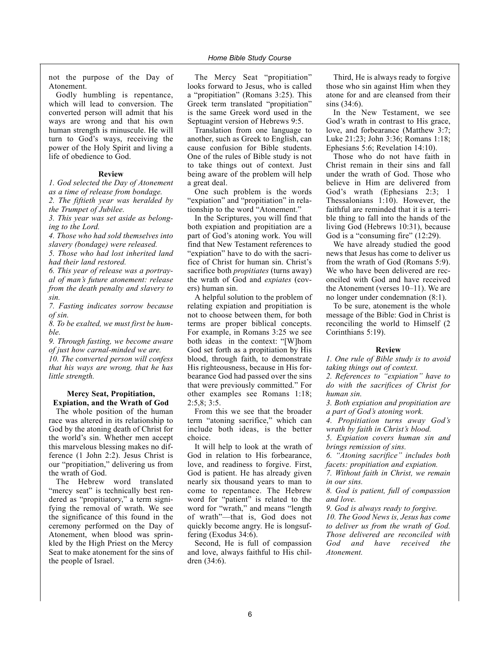not the purpose of the Day of Atonement.

Godly humbling is repentance, which will lead to conversion. The converted person will admit that his ways are wrong and that his own human strength is minuscule. He will turn to God's ways, receiving the power of the Holy Spirit and living a life of obedience to God.

#### **Review**

*1. God selected the Day of Atonement as a time of release from bondage. 2. The fiftieth year was heralded by the Trumpet of Jubilee.*

*3. This year was set aside as belonging to the Lord.*

*4. Those who had sold themselves into slavery (bondage) were released. 5. Those who had lost inherited land*

*had their land restored. 6. This year of release was a portray-*

*al of man's future atonement: release from the death penalty and slavery to sin.*

*7. Fasting indicates sorrow because of sin.*

*8. To be exalted, we must first be humble.*

*9. Through fasting, we become aware of just how carnal-minded we are.*

*10. The converted person will confess that his ways are wrong, that he has little strength.*

#### **Mercy Seat, Propitiation, Expiation, and the Wrath of God**

The whole position of the human race was altered in its relationship to God by the atoning death of Christ for the world's sin. Whether men accept this marvelous blessing makes no difference (1 John 2:2). Jesus Christ is our "propitiation," delivering us from the wrath of God.

The Hebrew word translated "mercy seat" is technically best rendered as "propitiatory," a term signifying the removal of wrath. We see the significance of this found in the ceremony performed on the Day of Atonement, when blood was sprinkled by the High Priest on the Mercy Seat to make atonement for the sins of the people of Israel.

The Mercy Seat "propitiation" looks forward to Jesus, who is called a "propitiation" (Romans 3:25). This Greek term translated "propitiation" is the same Greek word used in the Septuagint version of Hebrews 9:5.

Translation from one language to another, such as Greek to English, can cause confusion for Bible students. One of the rules of Bible study is not to take things out of context. Just being aware of the problem will help a great deal.

One such problem is the words "expiation" and "propitiation" in relationship to the word "Atonement."

In the Scriptures, you will find that both expiation and propitiation are a part of God's atoning work. You will find that New Testament references to "expiation" have to do with the sacrifice of Christ for human sin. Christ's sacrifice both *propitiates* (turns away) the wrath of God and *expiates* (covers) human sin.

A helpful solution to the problem of relating expiation and propitiation is not to choose between them, for both terms are proper biblical concepts. For example, in Romans 3:25 we see both ideas in the context: "[W]hom God set forth as a propitiation by His blood, through faith, to demonstrate His righteousness, because in His forbearance God had passed over the sins that were previously committed." For other examples see Romans 1:18; 2:5,8; 3:5.

From this we see that the broader term "atoning sacrifice," which can include both ideas, is the better choice.

It will help to look at the wrath of God in relation to His forbearance, love, and readiness to forgive. First, God is patient. He has already given nearly six thousand years to man to come to repentance. The Hebrew word for "patient" is related to the word for "wrath," and means "length of wrath"—that is, God does not quickly become angry. He is longsuffering (Exodus 34:6).

Second, He is full of compassion and love, always faithful to His children (34:6).

Third, He is always ready to forgive those who sin against Him when they atone for and are cleansed from their sins (34:6).

In the New Testament, we see God's wrath in contrast to His grace, love, and forbearance (Matthew 3:7; Luke 21:23; John 3:36; Romans 1:18; Ephesians 5:6; Revelation 14:10).

Those who do not have faith in Christ remain in their sins and fall under the wrath of God. Those who believe in Him are delivered from God's wrath (Ephesians 2:3; 1 Thessalonians 1:10). However, the faithful are reminded that it is a terrible thing to fall into the hands of the living God (Hebrews 10:31), because God is a "consuming fire" (12:29).

We have already studied the good news that Jesus has come to deliver us from the wrath of God (Romans 5:9). We who have been delivered are reconciled with God and have received the Atonement (verses 10–11). We are no longer under condemnation (8:1).

To be sure, atonement is the whole message of the Bible: God in Christ is reconciling the world to Himself (2 Corinthians 5:19).

#### **Review**

*1. One rule of Bible study is to avoid taking things out of context.*

*2. References to "expiation" have to do with the sacrifices of Christ for human sin.*

*3. Both expiation and propitiation are a part of God's atoning work.*

*4. Propitiation turns away God's wrath by faith in Christ's blood.*

*5. Expiation covers human sin and brings remission of sins.*

*6. "Atoning sacrifice" includes both facets: propitiation and expiation.*

*7. Without faith in Christ, we remain in our sins.*

*8. God is patient, full of compassion and love.*

*9. God is always ready to forgive.*

*10. The Good News is, Jesus has come to deliver us from the wrath of God. Those delivered are reconciled with God and have received the Atonement.*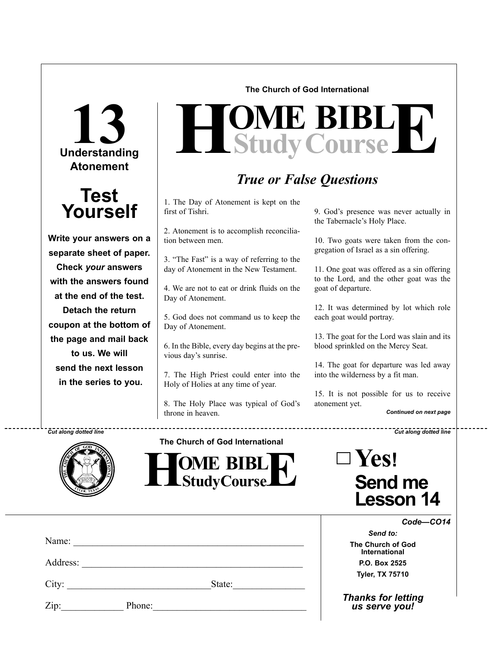**Understanding 13 Atonement**

### **Test Yourself**

**Write your answers on a separate sheet of paper. Check** *your* **answers with the answers found at the end of the test. Detach the return coupon at the bottom of the page and mail back to us. We will send the next lesson in the series to you.**

**The Church of God International**

# $H$ **Study Course**

### *True or False Questions*

1. The Day of Atonement is kept on the first of Tishri.

2. Atonement is to accomplish reconciliation between men.

3. "The Fast" is a way of referring to the day of Atonement in the New Testament.

4. We are not to eat or drink fluids on the Day of Atonement.

5. God does not command us to keep the Day of Atonement.

6. In the Bible, every day begins at the previous day's sunrise.

7. The High Priest could enter into the Holy of Holies at any time of year.

8. The Holy Place was typical of God's throne in heaven.

9. God's presence was never actually in the Tabernacle's Holy Place.

10. Two goats were taken from the congregation of Israel as a sin offering.

11. One goat was offered as a sin offering to the Lord, and the other goat was the goat of departure.

12. It was determined by lot which role each goat would portray.

13. The goat for the Lord was slain and its blood sprinkled on the Mercy Seat.

14. The goat for departure was led away into the wilderness by a fit man.

15. It is not possible for us to receive atonement yet.

*Continued on next page*

*Cut along dotted line Cut along dotted line*



**The Church of God International**



| $\square$ Yes!                     |
|------------------------------------|
| <b>Send me</b><br><b>Lesson 14</b> |

*Code—CO14*

*Send to:* **The Church of God International P.O. Box 2525 Tyler, TX 75710**

*Thanks for letting us serve you!*

Zip: Phone:

Name:

Address:

City: \_\_\_\_\_\_\_\_\_\_\_\_\_\_\_\_\_\_\_\_\_\_\_\_\_\_\_\_\_\_State:\_\_\_\_\_\_\_\_\_\_\_\_\_\_\_